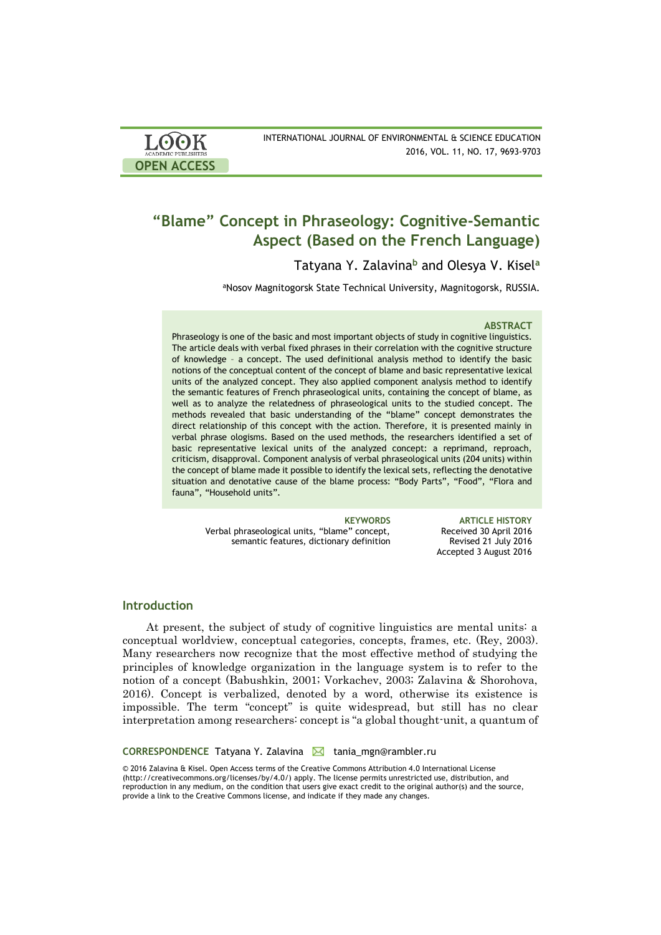| <b>LOOK</b>                | INTERNATIONAL JOURNAL OF ENVIRONMENTAL & SCIENCE EDUCATION |
|----------------------------|------------------------------------------------------------|
| <b>ACADEMIC PUBLISHERS</b> | 2016, VOL. 11, NO. 17, 9693-9703                           |
| <b>OPEN ACCESS</b>         |                                                            |

# **"Blame" Concept in Phraseology: Cognitive-Semantic Aspect (Based on the French Language)**

Tatyana Y. Zalavina**<sup>b</sup>** and Olesya V. Kisel**<sup>a</sup>**

<sup>a</sup>Nosov Magnitogorsk State Technical University, Magnitogorsk, RUSSIA.

#### **ABSTRACT**

Phraseology is one of the basic and most important objects of study in cognitive linguistics. The article deals with verbal fixed phrases in their correlation with the cognitive structure of knowledge – a concept. The used definitional analysis method to identify the basic notions of the conceptual content of the concept of blame and basic representative lexical units of the analyzed concept. They also applied component analysis method to identify the semantic features of French phraseological units, containing the concept of blame, as well as to analyze the relatedness of phraseological units to the studied concept. The methods revealed that basic understanding of the "blame" concept demonstrates the direct relationship of this concept with the action. Therefore, it is presented mainly in verbal phrase ologisms. Based on the used methods, the researchers identified a set of basic representative lexical units of the analyzed concept: a reprimand, reproach, criticism, disapproval. Component analysis of verbal phraseological units (204 units) within the concept of blame made it possible to identify the lexical sets, reflecting the denotative situation and denotative cause of the blame process: "Body Parts", "Food", "Flora and fauna", "Household units".

Verbal phraseological units, "blame" concept, semantic features, dictionary definition

**KEYWORDS ARTICLE HISTORY** Received 30 April 2016 Revised 21 July 2016 Accepted 3 August 2016

# **Introduction**

At present, the subject of study of cognitive linguistics are mental units: a conceptual worldview, conceptual categories, concepts, frames, etc. (Rey, 2003). Many researchers now recognize that the most effective method of studying the principles of knowledge organization in the language system is to refer to the notion of a concept (Babushkin, 2001; Vorkachev, 2003; Zalavina & Shorohova, 2016). Concept is verbalized, denoted by a word, otherwise its existence is impossible. The term "concept" is quite widespread, but still has no clear interpretation among researchers: concept is "a global thought-unit, a quantum of

**CORRESPONDENCE** Tatyana Y. Zalavina **M** tania\_mgn@rambler.ru

© 2016 Zalavina & Kisel. Open Access terms of the Creative Commons Attribution 4.0 International License (http://creativecommons.org/licenses/by/4.0/) apply. The license permits unrestricted use, distribution, and reproduction in any medium, on the condition that users give exact credit to the original author(s) and the source, provide a link to the Creative Commons license, and indicate if they made any changes.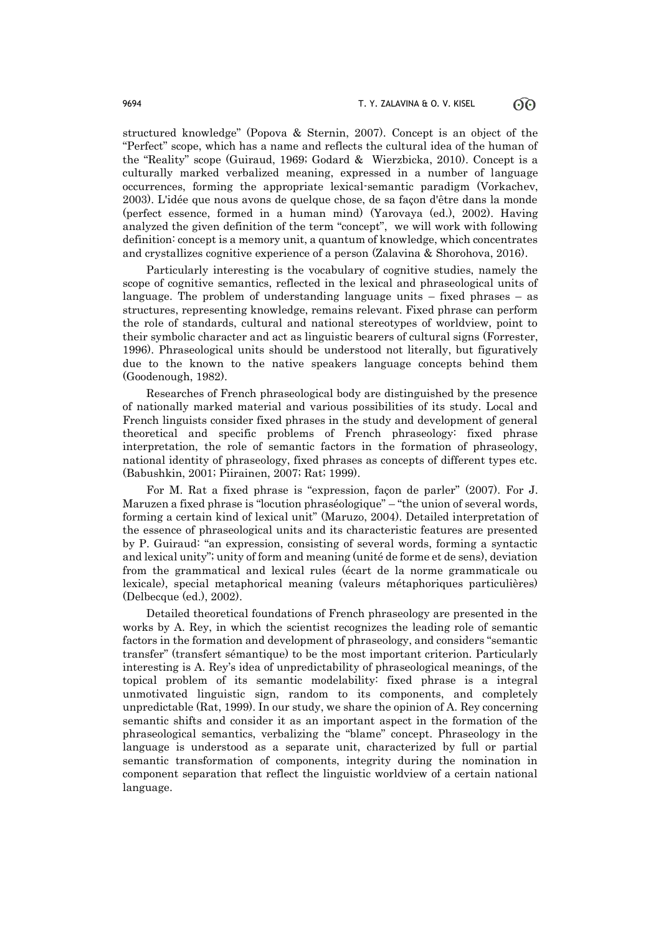structured knowledge" (Popova & Sternin, 2007). Concept is an object of the "Perfect" scope, which has a name and reflects the cultural idea of the human of the "Reality" scope (Guiraud, 1969; Godard & Wierzbicka, 2010). Concept is a culturally marked verbalized meaning, expressed in a number of language occurrences, forming the appropriate lexical-semantic paradigm (Vorkachev, 2003). L'idée que nous avons de quelque chose, de sa façon d'être dans la monde (perfect essence, formed in a human mind) (Yarovaya (ed.), 2002). Having analyzed the given definition of the term "concept", we will work with following definition: concept is a memory unit, a quantum of knowledge, which concentrates and crystallizes cognitive experience of a person (Zalavina & Shorohova, 2016).

Particularly interesting is the vocabulary of cognitive studies, namely the scope of cognitive semantics, reflected in the lexical and phraseological units of language. The problem of understanding language units – fixed phrases – as structures, representing knowledge, remains relevant. Fixed phrase can perform the role of standards, cultural and national stereotypes of worldview, point to their symbolic character and act as linguistic bearers of cultural signs (Forrester, 1996). Phraseological units should be understood not literally, but figuratively due to the known to the native speakers language concepts behind them (Goodenough, 1982).

Researches of French phraseological body are distinguished by the presence of nationally marked material and various possibilities of its study. Local and French linguists consider fixed phrases in the study and development of general theoretical and specific problems of French phraseology: fixed phrase interpretation, the role of semantic factors in the formation of phraseology, national identity of phraseology, fixed phrases as concepts of different types etc. (Babushkin, 2001; Piirainen, 2007; Rat; 1999).

For M. Rat a fixed phrase is "expression, façon de parler" (2007). For J. Maruzen a fixed phrase is "locution phraséologique" – "the union of several words, forming a certain kind of lexical unit" (Maruzo, 2004). Detailed interpretation of the essence of phraseological units and its characteristic features are presented by P. Guiraud: "an expression, consisting of several words, forming a syntactic and lexical unity"; unity of form and meaning (unité de forme et de sens), deviation from the grammatical and lexical rules (écart de la norme grammaticale ou lexicale), special metaphorical meaning (valeurs métaphoriques particulières) (Delbecque (ed.), 2002).

Detailed theoretical foundations of French phraseology are presented in the works by A. Rey, in which the scientist recognizes the leading role of semantic factors in the formation and development of phraseology, and considers "semantic transfer" (transfert sémantique) to be the most important criterion. Particularly interesting is A. Rey's idea of unpredictability of phraseological meanings, of the topical problem of its semantic modelability: fixed phrase is a integral unmotivated linguistic sign, random to its components, and completely unpredictable (Rat, 1999). In our study, we share the opinion of A. Rey concerning semantic shifts and consider it as an important aspect in the formation of the phraseological semantics, verbalizing the "blame" concept. Phraseology in the language is understood as a separate unit, characterized by full or partial semantic transformation of components, integrity during the nomination in component separation that reflect the linguistic worldview of a certain national language.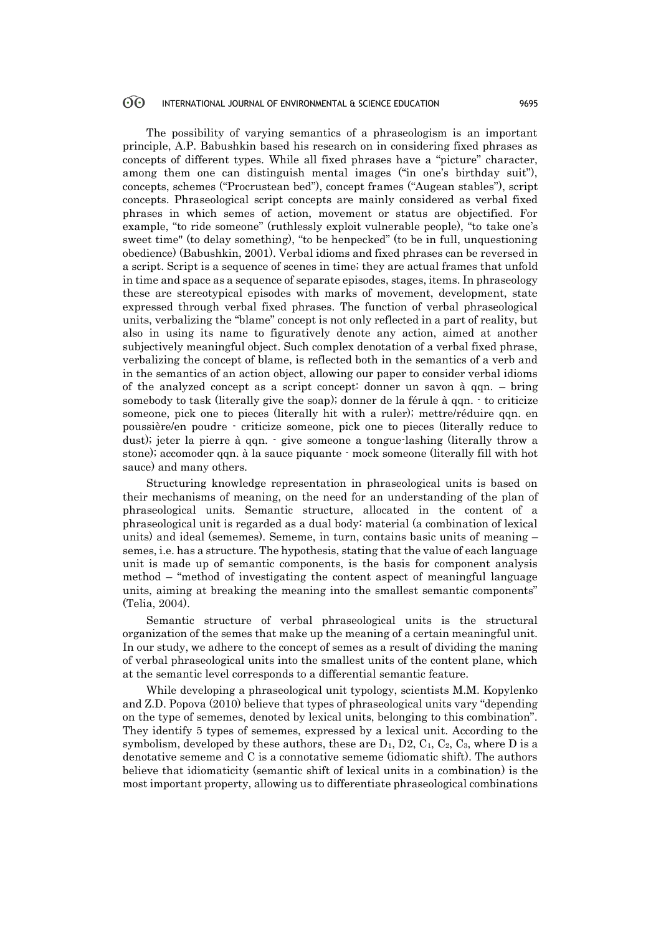#### 60 INTERNATIONAL JOURNAL OF ENVIRONMENTAL & SCIENCE EDUCATION 9695

The possibility of varying semantics of a phraseologism is an important principle, A.P. Babushkin based his research on in considering fixed phrases as concepts of different types. While all fixed phrases have a "picture" character, among them one can distinguish mental images ("in one's birthday suit"), concepts, schemes ("Procrustean bed"), concept frames ("Augean stables"), script concepts. Phraseological script concepts are mainly considered as verbal fixed phrases in which semes of action, movement or status are objectified. For example, "to ride someone" (ruthlessly exploit vulnerable people), "to take one's sweet time" (to delay something), "to be henpecked" (to be in full, unquestioning obedience) (Babushkin, 2001). Verbal idioms and fixed phrases can be reversed in a script. Script is a sequence of scenes in time; they are actual frames that unfold in time and space as a sequence of separate episodes, stages, items. In phraseology these are stereotypical episodes with marks of movement, development, state expressed through verbal fixed phrases. The function of verbal phraseological units, verbalizing the "blame" concept is not only reflected in a part of reality, but also in using its name to figuratively denote any action, aimed at another subjectively meaningful object. Such complex denotation of a verbal fixed phrase, verbalizing the concept of blame, is reflected both in the semantics of a verb and in the semantics of an action object, allowing our paper to consider verbal idioms of the analyzed concept as a script concept: donner un savon à qqn. – bring somebody to task (literally give the soap); donner de la férule à qqn. - to criticize someone, pick one to pieces (literally hit with a ruler); mettre/réduire qqn. en poussière/en poudre - criticize someone, pick one to pieces (literally reduce to dust); jeter la pierre à qqn. - give someone a tongue-lashing (literally throw a stone); accomoder qqn. à la sauce piquante - mock someone (literally fill with hot sauce) and many others.

Structuring knowledge representation in phraseological units is based on their mechanisms of meaning, on the need for an understanding of the plan of phraseological units. Semantic structure, allocated in the content of a phraseological unit is regarded as a dual body: material (a combination of lexical units) and ideal (sememes). Sememe, in turn, contains basic units of meaning – semes, i.e. has a structure. The hypothesis, stating that the value of each language unit is made up of semantic components, is the basis for component analysis method – "method of investigating the content aspect of meaningful language units, aiming at breaking the meaning into the smallest semantic components" (Telia, 2004).

Semantic structure of verbal phraseological units is the structural organization of the semes that make up the meaning of a certain meaningful unit. In our study, we adhere to the concept of semes as a result of dividing the maning of verbal phraseological units into the smallest units of the content plane, which at the semantic level corresponds to a differential semantic feature.

While developing a phraseological unit typology, scientists M.M. Kopylenko and Z.D. Popova (2010) believe that types of phraseological units vary "depending on the type of sememes, denoted by lexical units, belonging to this combination". They identify 5 types of sememes, expressed by a lexical unit. According to the symbolism, developed by these authors, these are  $D_1$ ,  $D_2$ ,  $C_1$ ,  $C_2$ ,  $C_3$ , where D is a denotative sememe and C is a connotative sememe (idiomatic shift). The authors believe that idiomaticity (semantic shift of lexical units in a combination) is the most important property, allowing us to differentiate phraseological combinations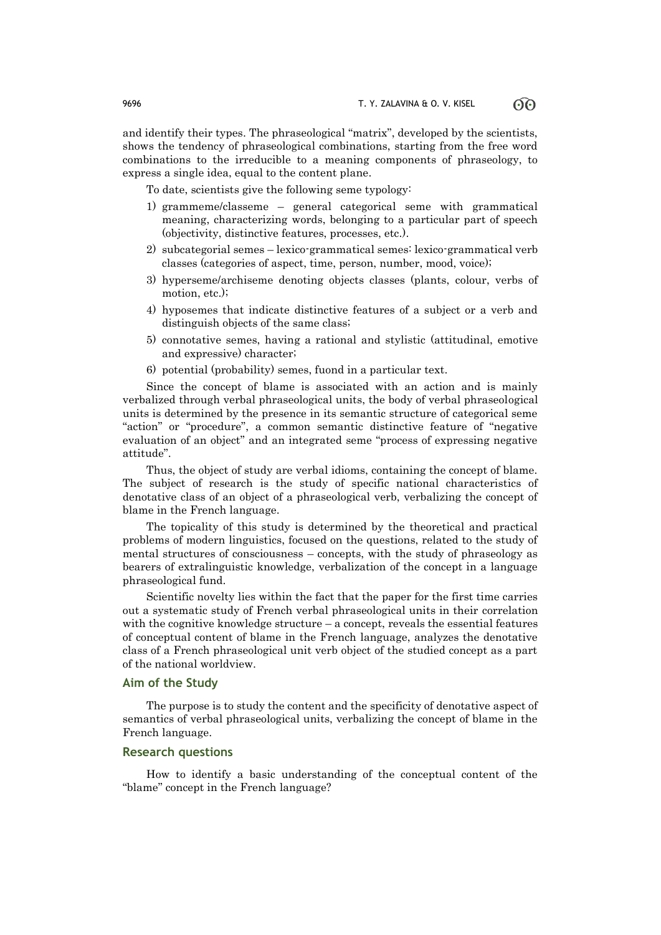and identify their types. The phraseological "matrix", developed by the scientists, shows the tendency of phraseological combinations, starting from the free word combinations to the irreducible to a meaning components of phraseology, to express a single idea, equal to the content plane.

To date, scientists give the following seme typology:

- 1) grammeme/classeme general categorical seme with grammatical meaning, characterizing words, belonging to a particular part of speech (objectivity, distinctive features, processes, etc.).
- 2) subcategorial semes lexico-grammatical semes: lexico-grammatical verb classes (categories of aspect, time, person, number, mood, voice);
- 3) hyperseme/archiseme denoting objects classes (plants, colour, verbs of motion, etc.);
- 4) hyposemes that indicate distinctive features of a subject or a verb and distinguish objects of the same class;
- 5) connotative semes, having a rational and stylistic (attitudinal, emotive and expressive) character;
- 6) potential (probability) semes, fuond in a particular text.

Since the concept of blame is associated with an action and is mainly verbalized through verbal phraseological units, the body of verbal phraseological units is determined by the presence in its semantic structure of categorical seme "action" or "procedure", a common semantic distinctive feature of "negative evaluation of an object" and an integrated seme "process of expressing negative attitude".

Thus, the object of study are verbal idioms, containing the concept of blame. The subject of research is the study of specific national characteristics of denotative class of an object of a phraseological verb, verbalizing the concept of blame in the French language.

The topicality of this study is determined by the theoretical and practical problems of modern linguistics, focused on the questions, related to the study of mental structures of consciousness – concepts, with the study of phraseology as bearers of extralinguistic knowledge, verbalization of the concept in a language phraseological fund.

Scientific novelty lies within the fact that the paper for the first time carries out a systematic study of French verbal phraseological units in their correlation with the cognitive knowledge structure – a concept, reveals the essential features of conceptual content of blame in the French language, analyzes the denotative class of a French phraseological unit verb object of the studied concept as a part of the national worldview.

# **Aim of the Study**

The purpose is to study the content and the specificity of denotative aspect of semantics of verbal phraseological units, verbalizing the concept of blame in the French language.

# **Research questions**

How to identify a basic understanding of the conceptual content of the "blame" concept in the French language?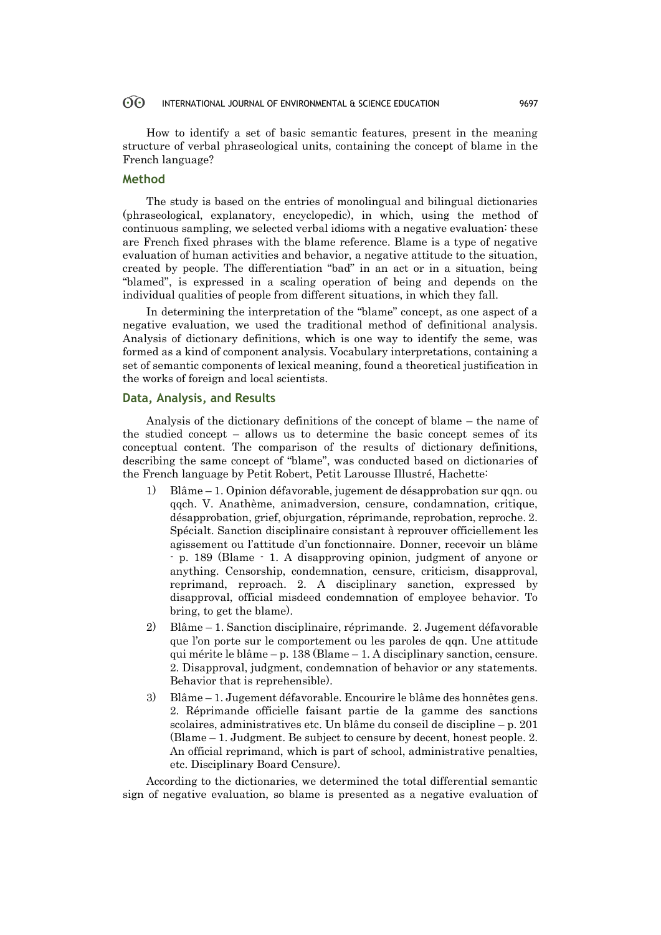#### 60 INTERNATIONAL JOURNAL OF ENVIRONMENTAL & SCIENCE EDUCATION 9697

How to identify a set of basic semantic features, present in the meaning structure of verbal phraseological units, containing the concept of blame in the French language?

## **Method**

The study is based on the entries of monolingual and bilingual dictionaries (phraseological, explanatory, encyclopedic), in which, using the method of continuous sampling, we selected verbal idioms with a negative evaluation: these are French fixed phrases with the blame reference. Blame is a type of negative evaluation of human activities and behavior, a negative attitude to the situation, created by people. The differentiation "bad" in an act or in a situation, being "blamed", is expressed in a scaling operation of being and depends on the individual qualities of people from different situations, in which they fall.

In determining the interpretation of the "blame" concept, as one aspect of a negative evaluation, we used the traditional method of definitional analysis. Analysis of dictionary definitions, which is one way to identify the seme, was formed as a kind of component analysis. Vocabulary interpretations, containing a set of semantic components of lexical meaning, found a theoretical justification in the works of foreign and local scientists.

### **Data, Analysis, and Results**

Analysis of the dictionary definitions of the concept of blame – the name of the studied concept – allows us to determine the basic concept semes of its conceptual content. The comparison of the results of dictionary definitions, describing the same concept of "blame", was conducted based on dictionaries of the French language by Petit Robert, Petit Larousse Illustré, Hachette:

- 1) Blâme 1. Opinion défavorable, jugement de désapprobation sur qqn. ou qqch. V. Anathème, animadversion, censure, condamnation, critique, désapprobation, grief, objurgation, réprimande, reprobation, reproche. 2. Spécialt. Sanction disciplinaire consistant à reprouver officiellement les agissement ou l'attitude d'un fonctionnaire. Donner, recevoir un blâme - p. 189 (Blame - 1. A disapproving opinion, judgment of anyone or anything. Censorship, condemnation, censure, criticism, disapproval, reprimand, reproach. 2. A disciplinary sanction, expressed by disapproval, official misdeed condemnation of employee behavior. To bring, to get the blame).
- 2) Blâme 1. Sanction disciplinaire, réprimande. 2. Jugement défavorable que l'on porte sur le comportement ou les paroles de qqn. Une attitude qui mérite le blâme – p. 138 (Blame – 1. A disciplinary sanction, censure. 2. Disapproval, judgment, condemnation of behavior or any statements. Behavior that is reprehensible).
- 3) Blâme 1. Jugement défavorable. Encourire le blâme des honnêtes gens. 2. Réprimande officielle faisant partie de la gamme des sanctions scolaires, administratives etc. Un blâme du conseil de discipline – p. 201 (Blame – 1. Judgment. Be subject to censure by decent, honest people. 2. An official reprimand, which is part of school, administrative penalties, etc. Disciplinary Board Censure).

According to the dictionaries, we determined the total differential semantic sign of negative evaluation, so blame is presented as a negative evaluation of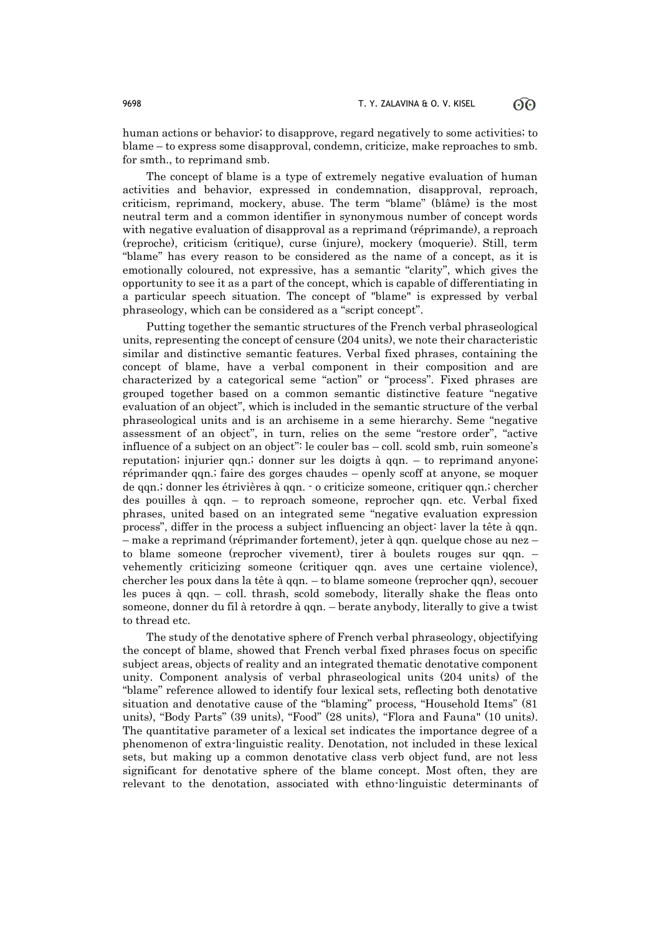human actions or behavior; to disapprove, regard negatively to some activities; to blame – to express some disapproval, condemn, criticize, make reproaches to smb. for smth., to reprimand smb.

The concept of blame is a type of extremely negative evaluation of human activities and behavior, expressed in condemnation, disapproval, reproach, criticism, reprimand, mockery, abuse. The term "blame" (blâme) is the most neutral term and a common identifier in synonymous number of concept words with negative evaluation of disapproval as a reprimand (réprimande), a reproach (reproche), criticism (critique), curse (injure), mockery (moquerie). Still, term "blame" has every reason to be considered as the name of a concept, as it is emotionally coloured, not expressive, has a semantic "clarity", which gives the opportunity to see it as a part of the concept, which is capable of differentiating in a particular speech situation. The concept of "blame" is expressed by verbal phraseology, which can be considered as a "script concept".

Putting together the semantic structures of the French verbal phraseological units, representing the concept of censure (204 units), we note their characteristic similar and distinctive semantic features. Verbal fixed phrases, containing the concept of blame, have a verbal component in their composition and are characterized by a categorical seme "action" or "process". Fixed phrases are grouped together based on a common semantic distinctive feature "negative evaluation of an object", which is included in the semantic structure of the verbal phraseological units and is an archiseme in a seme hierarchy. Seme "negative assessment of an object", in turn, relies on the seme "restore order", "active influence of a subject on an object": le couler bas – coll. scold smb, ruin someone's reputation; injurier qqn.; donner sur les doigts à qqn. – to reprimand anyone; réprimander qqn.; faire des gorges chaudes – openly scoff at anyone, se moquer de qqn.; donner les étrivières à qqn. - o criticize someone, critiquer qqn.; chercher des pouilles à qqn. – to reproach someone, reprocher qqn. etc. Verbal fixed phrases, united based on an integrated seme "negative evaluation expression process", differ in the process a subject influencing an object: laver la tête à qqn. – make a reprimand (réprimander fortement), jeter à qqn. quelque chose au nez – to blame someone (reprocher vivement), tirer à boulets rouges sur qqn. – vehemently criticizing someone (critiquer qqn. aves une certaine violence), chercher les poux dans la tête à qqn. – to blame someone (reprocher qqn), secouer les puces à qqn. – coll. thrash, scold somebody, literally shake the fleas onto someone, donner du fil à retordre à qqn. – berate anybody, literally to give a twist to thread etc.

The study of the denotative sphere of French verbal phraseology, objectifying the concept of blame, showed that French verbal fixed phrases focus on specific subject areas, objects of reality and an integrated thematic denotative component unity. Component analysis of verbal phraseological units (204 units) of the "blame" reference allowed to identify four lexical sets, reflecting both denotative situation and denotative cause of the "blaming" process, "Household Items" (81 units), "Body Parts" (39 units), "Food" (28 units), "Flora and Fauna" (10 units). The quantitative parameter of a lexical set indicates the importance degree of a phenomenon of extra-linguistic reality. Denotation, not included in these lexical sets, but making up a common denotative class verb object fund, are not less significant for denotative sphere of the blame concept. Most often, they are relevant to the denotation, associated with ethno-linguistic determinants of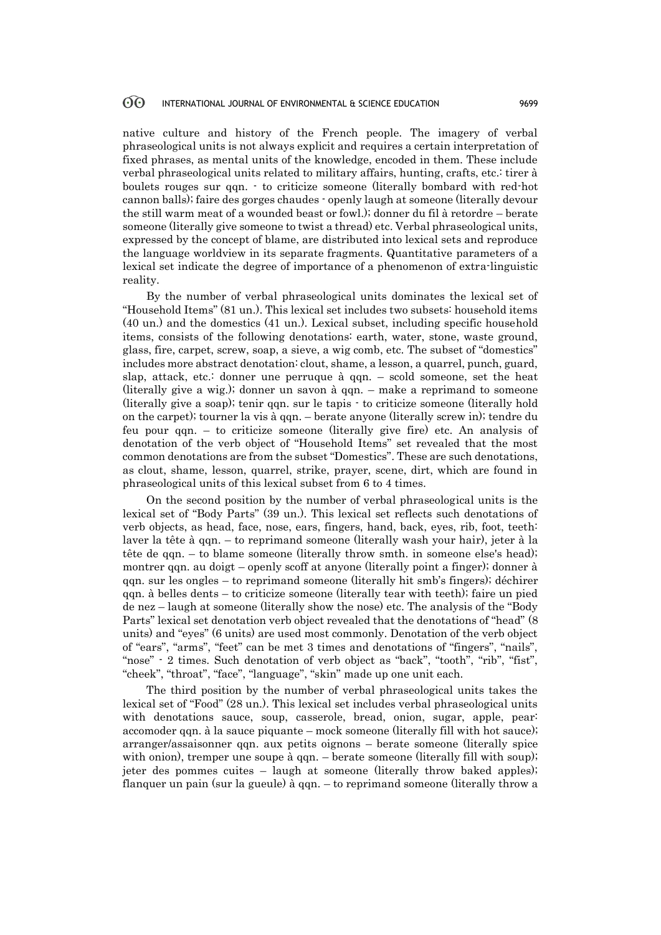native culture and history of the French people. The imagery of verbal phraseological units is not always explicit and requires a certain interpretation of fixed phrases, as mental units of the knowledge, encoded in them. These include verbal phraseological units related to military affairs, hunting, crafts, etc.: tirer à boulets rouges sur qqn. - to criticize someone (literally bombard with red-hot cannon balls); faire des gorges chaudes - openly laugh at someone (literally devour the still warm meat of a wounded beast or fowl.); donner du fil à retordre – berate someone (literally give someone to twist a thread) etc. Verbal phraseological units, expressed by the concept of blame, are distributed into lexical sets and reproduce the language worldview in its separate fragments. Quantitative parameters of a lexical set indicate the degree of importance of a phenomenon of extra-linguistic reality.

By the number of verbal phraseological units dominates the lexical set of "Household Items" (81 un.). This lexical set includes two subsets: household items (40 un.) and the domestics (41 un.). Lexical subset, including specific household items, consists of the following denotations: earth, water, stone, waste ground, glass, fire, carpet, screw, soap, a sieve, a wig comb, etc. The subset of "domestics" includes more abstract denotation: clout, shame, a lesson, a quarrel, punch, guard, slap, attack, etc.: donner une perruque à qqn. – scold someone, set the heat (literally give a wig.); donner un savon à qqn. – make a reprimand to someone (literally give a soap); tenir qqn. sur le tapis - to criticize someone (literally hold on the carpet); tourner la vis à qqn. – berate anyone (literally screw in); tendre du feu pour qqn. – to criticize someone (literally give fire) etc. An analysis of denotation of the verb object of "Household Items" set revealed that the most common denotations are from the subset "Domestics". These are such denotations, as clout, shame, lesson, quarrel, strike, prayer, scene, dirt, which are found in phraseological units of this lexical subset from 6 to 4 times.

On the second position by the number of verbal phraseological units is the lexical set of "Body Parts" (39 un.). This lexical set reflects such denotations of verb objects, as head, face, nose, ears, fingers, hand, back, eyes, rib, foot, teeth: laver la tête à qqn. – to reprimand someone (literally wash your hair), jeter à la tête de qqn. – to blame someone (literally throw smth. in someone else's head); montrer qqn. au doigt – openly scoff at anyone (literally point a finger); donner à qqn. sur les ongles – to reprimand someone (literally hit smb's fingers); déchirer qqn. à belles dents – to criticize someone (literally tear with teeth); faire un pied de nez – laugh at someone (literally show the nose) etc. The analysis of the "Body Parts" lexical set denotation verb object revealed that the denotations of "head" (8 units) and "eyes" (6 units) are used most commonly. Denotation of the verb object of "ears", "arms", "feet" can be met 3 times and denotations of "fingers", "nails", "nose" - 2 times. Such denotation of verb object as "back", "tooth", "rib", "fist", "cheek", "throat", "face", "language", "skin" made up one unit each.

The third position by the number of verbal phraseological units takes the lexical set of "Food" (28 un.). This lexical set includes verbal phraseological units with denotations sauce, soup, casserole, bread, onion, sugar, apple, pear: accomoder qqn. à la sauce piquante – mock someone (literally fill with hot sauce); arranger/assaisonner qqn. aux petits oignons – berate someone (literally spice with onion), tremper une soupe à qqn. – berate someone (literally fill with soup); jeter des pommes cuites – laugh at someone (literally throw baked apples); flanquer un pain (sur la gueule) à qqn. – to reprimand someone (literally throw a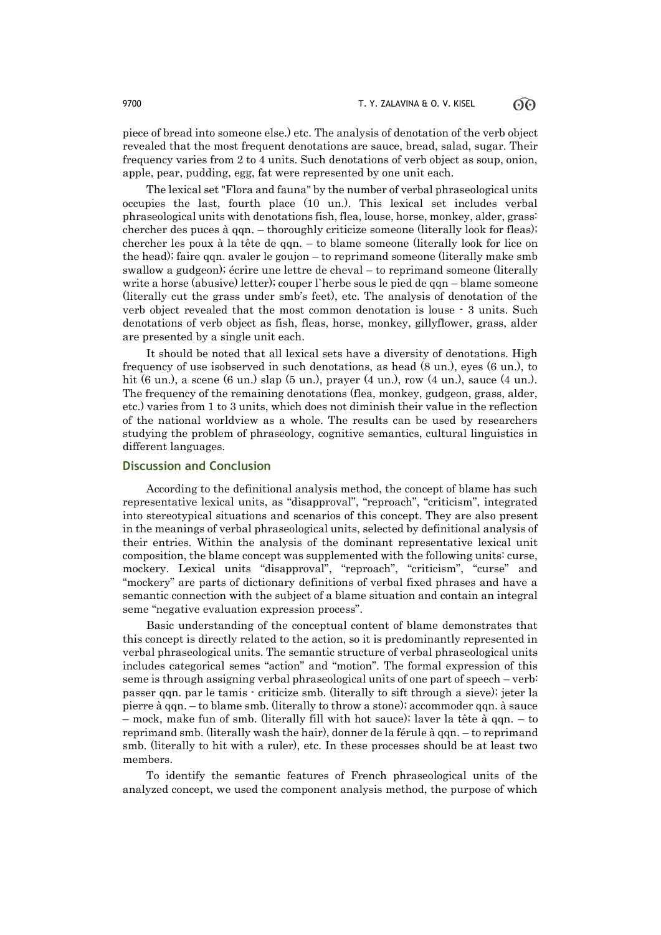piece of bread into someone else.) etc. The analysis of denotation of the verb object revealed that the most frequent denotations are sauce, bread, salad, sugar. Their frequency varies from 2 to 4 units. Such denotations of verb object as soup, onion, apple, pear, pudding, egg, fat were represented by one unit each.

The lexical set "Flora and fauna" by the number of verbal phraseological units occupies the last, fourth place (10 un.). This lexical set includes verbal phraseological units with denotations fish, flea, louse, horse, monkey, alder, grass: chercher des puces à qqn. – thoroughly criticize someone (literally look for fleas); chercher les poux à la tête de qqn. – to blame someone (literally look for lice on the head); faire qqn. avaler le goujon – to reprimand someone (literally make smb swallow a gudgeon); écrire une lettre de cheval – to reprimand someone (literally write a horse (abusive) letter); couper l`herbe sous le pied de qqn – blame someone (literally cut the grass under smb's feet), etc. The analysis of denotation of the verb object revealed that the most common denotation is louse - 3 units. Such denotations of verb object as fish, fleas, horse, monkey, gillyflower, grass, alder are presented by a single unit each.

It should be noted that all lexical sets have a diversity of denotations. High frequency of use isobserved in such denotations, as head (8 un.), eyes (6 un.), to hit (6 un.), a scene (6 un.) slap (5 un.), prayer (4 un.), row (4 un.), sauce (4 un.). The frequency of the remaining denotations (flea, monkey, gudgeon, grass, alder, etc.) varies from 1 to 3 units, which does not diminish their value in the reflection of the national worldview as a whole. The results can be used by researchers studying the problem of phraseology, cognitive semantics, cultural linguistics in different languages.

### **Discussion and Conclusion**

According to the definitional analysis method, the concept of blame has such representative lexical units, as "disapproval", "reproach", "criticism", integrated into stereotypical situations and scenarios of this concept. They are also present in the meanings of verbal phraseological units, selected by definitional analysis of their entries. Within the analysis of the dominant representative lexical unit composition, the blame concept was supplemented with the following units: curse, mockery. Lexical units "disapproval", "reproach", "criticism", "curse" and "mockery" are parts of dictionary definitions of verbal fixed phrases and have a semantic connection with the subject of a blame situation and contain an integral seme "negative evaluation expression process".

Basic understanding of the conceptual content of blame demonstrates that this concept is directly related to the action, so it is predominantly represented in verbal phraseological units. The semantic structure of verbal phraseological units includes categorical semes "action" and "motion". The formal expression of this seme is through assigning verbal phraseological units of one part of speech – verb: passer qqn. par le tamis - criticize smb. (literally to sift through a sieve); jeter la pierre à qqn. – to blame smb. (literally to throw a stone); accommoder qqn. à sauce – mock, make fun of smb. (literally fill with hot sauce); laver la tête à qqn. – to reprimand smb. (literally wash the hair), donner de la férule à gqn. – to reprimand smb. (literally to hit with a ruler), etc. In these processes should be at least two members.

To identify the semantic features of French phraseological units of the analyzed concept, we used the component analysis method, the purpose of which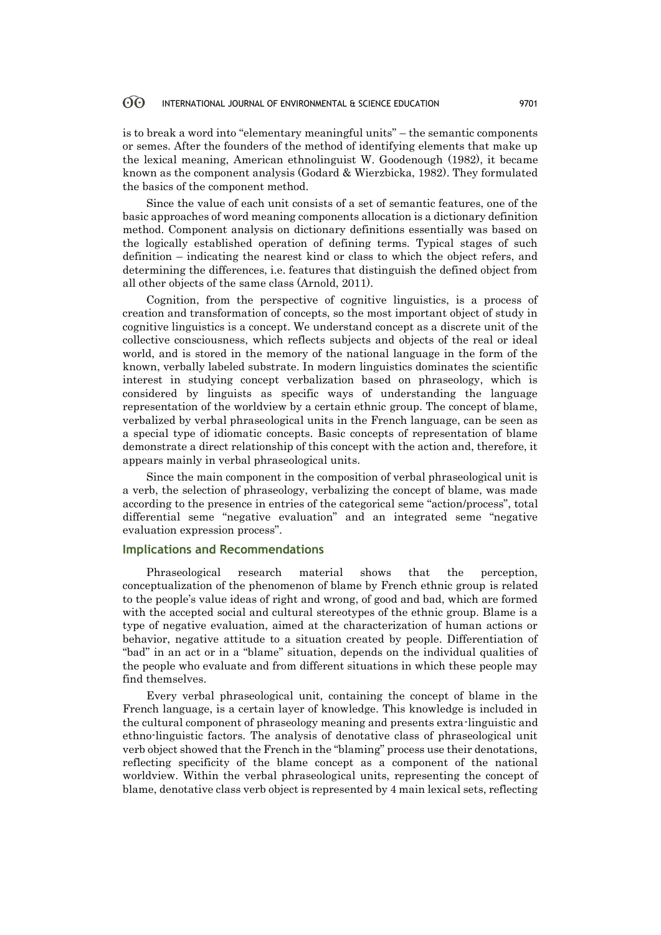#### 60 INTERNATIONAL JOURNAL OF ENVIRONMENTAL & SCIENCE EDUCATION 9701

is to break a word into "elementary meaningful units" – the semantic components or semes. After the founders of the method of identifying elements that make up the lexical meaning, American ethnolinguist W. Goodenough (1982), it became known as the component analysis (Godard & Wierzbicka, 1982). They formulated the basics of the component method.

Since the value of each unit consists of a set of semantic features, one of the basic approaches of word meaning components allocation is a dictionary definition method. Component analysis on dictionary definitions essentially was based on the logically established operation of defining terms. Typical stages of such definition – indicating the nearest kind or class to which the object refers, and determining the differences, i.e. features that distinguish the defined object from all other objects of the same class (Arnold, 2011).

Cognition, from the perspective of cognitive linguistics, is a process of creation and transformation of concepts, so the most important object of study in cognitive linguistics is a concept. We understand concept as a discrete unit of the collective consciousness, which reflects subjects and objects of the real or ideal world, and is stored in the memory of the national language in the form of the known, verbally labeled substrate. In modern linguistics dominates the scientific interest in studying concept verbalization based on phraseology, which is considered by linguists as specific ways of understanding the language representation of the worldview by a certain ethnic group. The concept of blame, verbalized by verbal phraseological units in the French language, can be seen as a special type of idiomatic concepts. Basic concepts of representation of blame demonstrate a direct relationship of this concept with the action and, therefore, it appears mainly in verbal phraseological units.

Since the main component in the composition of verbal phraseological unit is a verb, the selection of phraseology, verbalizing the concept of blame, was made according to the presence in entries of the categorical seme "action/process", total differential seme "negative evaluation" and an integrated seme "negative evaluation expression process".

### **Implications and Recommendations**

Phraseological research material shows that the perception, conceptualization of the phenomenon of blame by French ethnic group is related to the people's value ideas of right and wrong, of good and bad, which are formed with the accepted social and cultural stereotypes of the ethnic group. Blame is a type of negative evaluation, aimed at the characterization of human actions or behavior, negative attitude to a situation created by people. Differentiation of "bad" in an act or in a "blame" situation, depends on the individual qualities of the people who evaluate and from different situations in which these people may find themselves.

Every verbal phraseological unit, containing the concept of blame in the French language, is a certain layer of knowledge. This knowledge is included in the cultural component of phraseology meaning and presents extra-linguistic and ethno-linguistic factors. The analysis of denotative class of phraseological unit verb object showed that the French in the "blaming" process use their denotations, reflecting specificity of the blame concept as a component of the national worldview. Within the verbal phraseological units, representing the concept of blame, denotative class verb object is represented by 4 main lexical sets, reflecting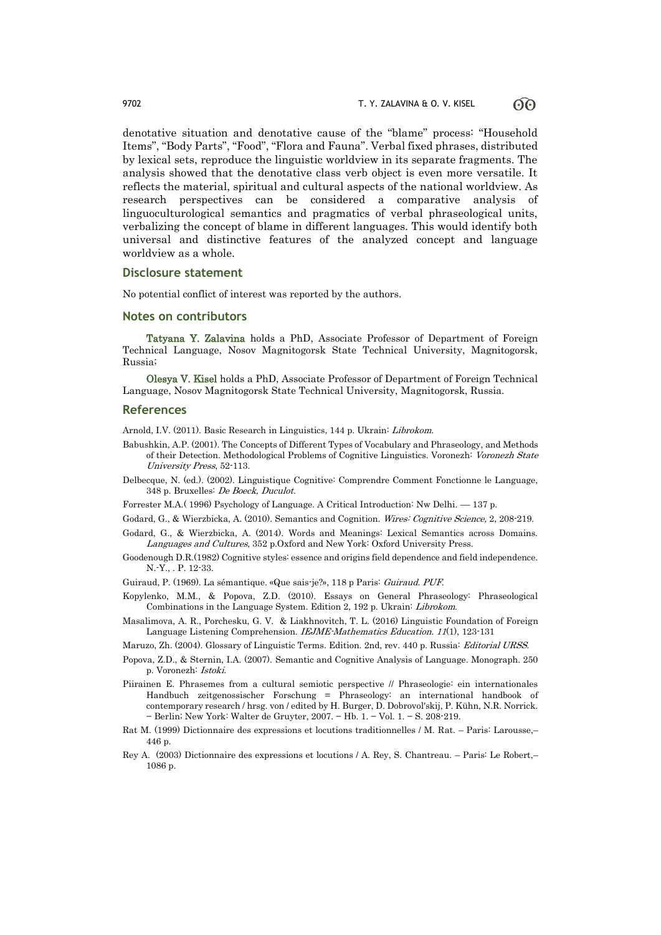denotative situation and denotative cause of the "blame" process: "Household Items", "Body Parts", "Food", "Flora and Fauna". Verbal fixed phrases, distributed by lexical sets, reproduce the linguistic worldview in its separate fragments. The analysis showed that the denotative class verb object is even more versatile. It reflects the material, spiritual and cultural aspects of the national worldview. As research perspectives can be considered a comparative analysis of linguoculturological semantics and pragmatics of verbal phraseological units, verbalizing the concept of blame in different languages. This would identify both universal and distinctive features of the analyzed concept and language worldview as a whole.

#### **Disclosure statement**

No potential conflict of interest was reported by the authors.

#### **Notes on contributors**

Tatyana Y. Zalavina holds a PhD, Associate Professor of Department of Foreign Technical Language, Nosov Magnitogorsk State Technical University, Magnitogorsk, Russia;

Olesya V. Kisel holds a PhD, Associate Professor of Department of Foreign Technical Language, Nosov Magnitogorsk State Technical University, Magnitogorsk, Russia.

### **References**

Arnold, I.V. (2011). Basic Research in Linguistics, 144 p. Ukrain: Librokom.

- Babushkin, A.P. (2001). The Concepts of Different Types of Vocabulary and Phraseology, and Methods of their Detection. Methodological Problems of Cognitive Linguistics. Voronezh: Voronezh State University Press, 52-113.
- Delbecque, N. (ed.). (2002). Linguistique Cognitive: Comprendre Comment Fonctionne le Language, 348 p. Bruxelles: De Boeck, Duculot.

Forrester M.A.( 1996) Psychology of Language. A Critical Introduction: Nw Delhi. –– 137 p.

Godard, G., & Wierzbicka, A. (2010). Semantics and Cognition. Wires: Cognitive Science, 2, 208-219.

- Godard, G., & Wierzbicka, A. (2014). Words and Meanings: Lexical Semantics across Domains. Languages and Cultures, 352 p.Oxford and New York: Oxford University Press.
- Goodenough D.R.(1982) Cognitive styles: essence and origins field dependence and field independence. N.-Y., . P. 12-33.
- Guiraud, P. (1969). La sémantique. «Que sais-je?», 118 p Paris: Guiraud. PUF.
- Kopylenko, M.M., & Popova, Z.D. (2010). Essays on General Phraseology: Phraseological Combinations in the Language System. Edition 2, 192 p. Ukrain: Librokom.
- Masalimova, A. R., Porchesku, G. V. & Liakhnovitch, T. L. (2016) Linguistic Foundation of Foreign Language Listening Comprehension. IEJME-Mathematics Education. 11(1), 123-131
- Maruzo, Zh. (2004). Glossary of Linguistic Terms. Edition. 2nd, rev. 440 p. Russia: Editorial URSS.
- Popova, Z.D., & Sternin, I.A. (2007). Semantic and Cognitive Analysis of Language. Monograph. 250 p. Voronezh: Istoki.
- Piirainen E. Phrasemes from a cultural semiotic perspective // Phraseologie: ein internationales Handbuch zeitgenossischer Forschung = Phraseology: an international handbook of contemporary research / hrsg. von / edited by H. Burger, D. Dobrovol'skij, P. Kühn, N.R. Norrick. − Berlin; New York: Walter de Gruyter, 2007. − Hb. 1. − Vol. 1. − S. 208-219.
- Rat M. (1999) Dictionnaire des expressions et locutions traditionnelles / M. Rat. Paris: Larousse,– 446 p.
- Rey A. (2003) Dictionnaire des expressions et locutions / A. Rey, S. Chantreau. Paris: Le Robert,– 1086 p.